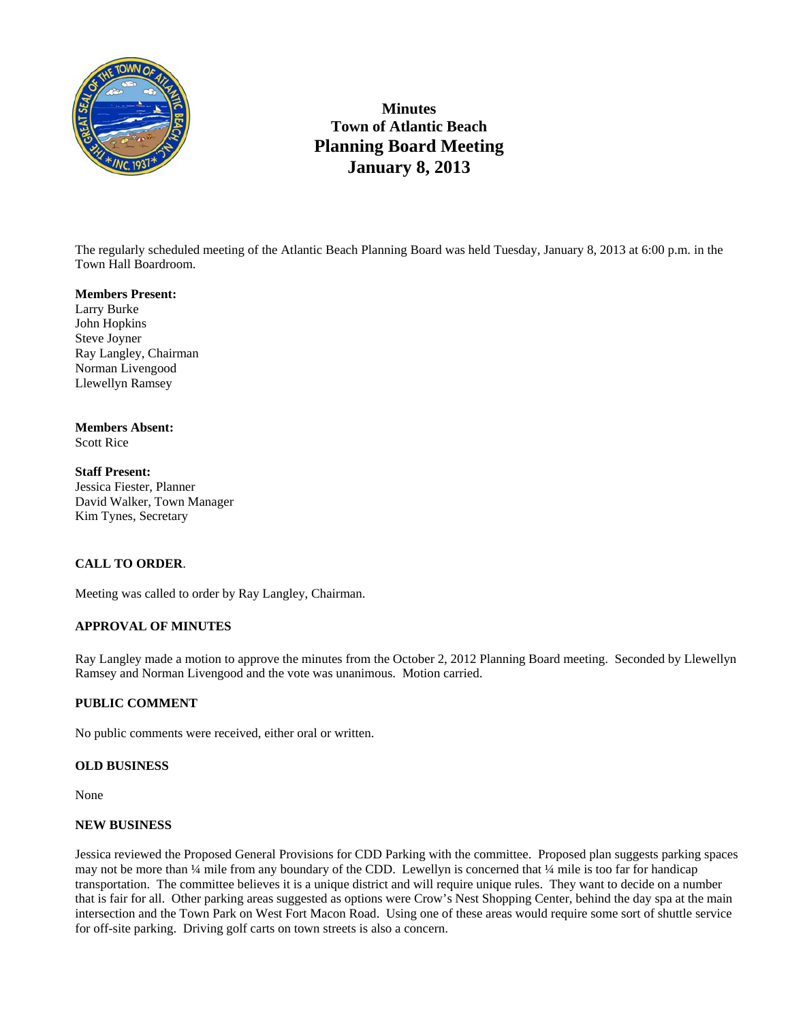

## **Minutes Town of Atlantic Beach Planning Board Meeting January 8, 2013**

The regularly scheduled meeting of the Atlantic Beach Planning Board was held Tuesday, January 8, 2013 at 6:00 p.m. in the Town Hall Boardroom.

#### **Members Present:**

Larry Burke John Hopkins Steve Joyner Ray Langley, Chairman Norman Livengood Llewellyn Ramsey

# **Members Absent:**

Scott Rice

#### **Staff Present:**  Jessica Fiester, Planner David Walker, Town Manager Kim Tynes, Secretary

### **CALL TO ORDER**.

Meeting was called to order by Ray Langley, Chairman.

### **APPROVAL OF MINUTES**

Ray Langley made a motion to approve the minutes from the October 2, 2012 Planning Board meeting. Seconded by Llewellyn Ramsey and Norman Livengood and the vote was unanimous. Motion carried.

### **PUBLIC COMMENT**

No public comments were received, either oral or written.

### **OLD BUSINESS**

None

### **NEW BUSINESS**

Jessica reviewed the Proposed General Provisions for CDD Parking with the committee. Proposed plan suggests parking spaces may not be more than  $\frac{1}{4}$  mile from any boundary of the CDD. Lewellyn is concerned that  $\frac{1}{4}$  mile is too far for handicap transportation. The committee believes it is a unique district and will require unique rules. They want to decide on a number that is fair for all. Other parking areas suggested as options were Crow's Nest Shopping Center, behind the day spa at the main intersection and the Town Park on West Fort Macon Road. Using one of these areas would require some sort of shuttle service for off-site parking. Driving golf carts on town streets is also a concern.